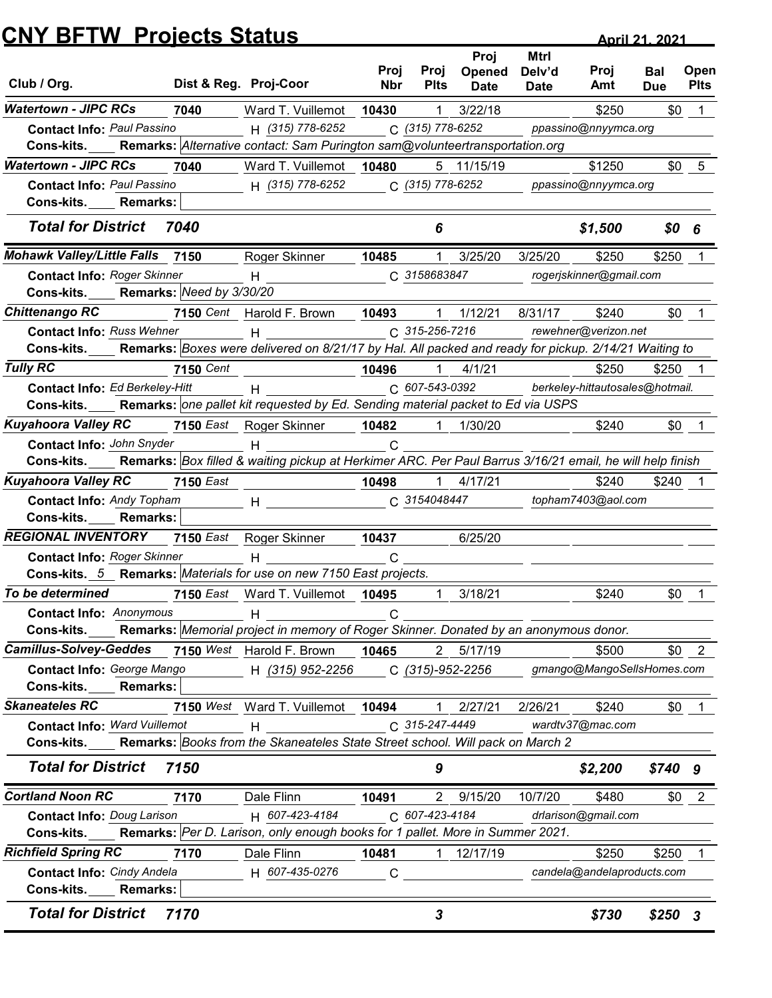|                                                                                                                                                     | <b>CNY BFTW Projects Status</b> |                                                                                                                                                                                                                                                                                                                  |              |                               |                  | <b>April 21, 2021</b> |                                          |            |              |
|-----------------------------------------------------------------------------------------------------------------------------------------------------|---------------------------------|------------------------------------------------------------------------------------------------------------------------------------------------------------------------------------------------------------------------------------------------------------------------------------------------------------------|--------------|-------------------------------|------------------|-----------------------|------------------------------------------|------------|--------------|
|                                                                                                                                                     |                                 |                                                                                                                                                                                                                                                                                                                  | Proj         | Proj                          | Proj<br>Opened   | <b>Mtrl</b><br>Delv'd | Proj                                     | <b>Bal</b> | Open         |
| Club / Org.                                                                                                                                         |                                 | Dist & Reg. Proj-Coor                                                                                                                                                                                                                                                                                            | <b>Nbr</b>   | <b>Plts</b>                   | <b>Date</b>      | <b>Date</b>           | Amt                                      | <b>Due</b> | <b>Plts</b>  |
| <b>Watertown - JIPC RCs</b>                                                                                                                         | 7040                            | Ward T. Vuillemot                                                                                                                                                                                                                                                                                                | 10430        | 1                             | 3/22/18          |                       | \$250                                    | \$0        |              |
| <b>Contact Info: Paul Passino</b>                                                                                                                   |                                 | H (315) 778-6252                                                                                                                                                                                                                                                                                                 |              | C (315) 778-6252              |                  |                       | ppassino@nnyymca.org                     |            |              |
| Cons-kits.<br><b>Watertown - JIPC RCs</b>                                                                                                           | 7040                            | Remarks: Alternative contact: Sam Purington sam@volunteertransportation.org<br>Ward T. Vuillemot                                                                                                                                                                                                                 | 10480        |                               | 5 11/15/19       |                       | \$1250                                   | \$0        | 5            |
| <b>Contact Info: Paul Passino</b>                                                                                                                   |                                 | H (315) 778-6252                                                                                                                                                                                                                                                                                                 |              | C (315) 778-6252              |                  |                       | ppassino@nnyymca.org                     |            |              |
| Cons-kits.<br><b>Remarks:</b>                                                                                                                       |                                 |                                                                                                                                                                                                                                                                                                                  |              |                               |                  |                       |                                          |            |              |
| <b>Total for District</b>                                                                                                                           | 7040                            |                                                                                                                                                                                                                                                                                                                  |              | 6                             |                  |                       | \$1,500                                  | \$0        | 6            |
| <b>Mohawk Valley/Little Falls</b>                                                                                                                   | 7150                            | Roger Skinner                                                                                                                                                                                                                                                                                                    | 10485        |                               | 3/25/20          | 3/25/20               | \$250                                    | \$250      |              |
| <b>Contact Info: Roger Skinner</b>                                                                                                                  |                                 | H                                                                                                                                                                                                                                                                                                                |              | C 3158683847                  |                  |                       | rogerjskinner@gmail.com                  |            |              |
| Cons-kits.                                                                                                                                          | Remarks: Need by 3/30/20        |                                                                                                                                                                                                                                                                                                                  |              |                               |                  |                       |                                          |            |              |
| <b>Chittenango RC</b>                                                                                                                               |                                 | 7150 Cent Harold F. Brown                                                                                                                                                                                                                                                                                        | 10493        | 1                             | 1/12/21          | 8/31/17               | \$240                                    | \$0        |              |
| <b>Contact Info: Russ Wehner</b><br>Cons-kits. Remarks: Boxes were delivered on 8/21/17 by Hal. All packed and ready for pickup. 2/14/21 Waiting to |                                 | $H$ and $H$ and $H$ and $H$ and $H$ and $H$ and $H$ and $H$ and $H$ and $H$ and $H$ and $H$ and $H$ and $H$ and $H$ and $H$ and $H$ and $H$ and $H$ and $H$ and $H$ and $H$ and $H$ and $H$ and $H$ and $H$ and $H$ and $H$ a                                                                                    |              | C 315-256-7216                |                  |                       | rewehner@verizon.net                     |            |              |
|                                                                                                                                                     |                                 |                                                                                                                                                                                                                                                                                                                  |              |                               |                  |                       |                                          |            |              |
| <b>Tully RC</b><br>Contact Info: Ed Berkeley-Hitt                                                                                                   | <b>7150 Cent</b>                |                                                                                                                                                                                                                                                                                                                  | 10496        | $\mathbf 1$<br>C 607-543-0392 | 4/1/21           |                       | \$250<br>berkeley-hittautosales@hotmail. | \$250      |              |
| Cons-kits.                                                                                                                                          |                                 | $H$ and $H$ and $H$ and $H$ and $H$ and $H$ and $H$ and $H$ and $H$ and $H$ and $H$ and $H$ and $H$ and $H$ and $H$ and $H$ and $H$ and $H$ and $H$ and $H$ and $H$ and $H$ and $H$ and $H$ and $H$ and $H$ and $H$ and $H$ a<br>Remarks: one pallet kit requested by Ed. Sending material packet to Ed via USPS |              |                               |                  |                       |                                          |            |              |
| Kuyahoora Valley RC                                                                                                                                 |                                 | 7150 East Roger Skinner                                                                                                                                                                                                                                                                                          | 10482        |                               | 1 1/30/20        |                       | \$240                                    |            | $$0$ 1       |
| Contact Info: John Snyder                                                                                                                           |                                 | H                                                                                                                                                                                                                                                                                                                | $\mathsf{C}$ |                               |                  |                       |                                          |            |              |
| Cons-kits.                                                                                                                                          |                                 | Remarks: Box filled & waiting pickup at Herkimer ARC. Per Paul Barrus 3/16/21 email, he will help finish                                                                                                                                                                                                         |              |                               |                  |                       |                                          |            |              |
| <b>Kuyahoora Valley RC</b>                                                                                                                          | <b>7150</b> East                |                                                                                                                                                                                                                                                                                                                  | 10498        |                               | $1$ 4/17/21      |                       | \$240                                    | $$240$ 1   |              |
| <b>Contact Info: Andy Topham</b>                                                                                                                    |                                 | $H$ and $H$ and $H$ and $H$ and $H$ and $H$ and $H$ and $H$ and $H$ and $H$ and $H$ and $H$ and $H$ and $H$ and $H$ and $H$ and $H$ and $H$ and $H$ and $H$ and $H$ and $H$ and $H$ and $H$ and $H$ and $H$ and $H$ and $H$ a                                                                                    |              | C 3154048447                  |                  |                       | topham7403@aol.com                       |            |              |
| Cons-kits.<br><b>Remarks:</b>                                                                                                                       |                                 |                                                                                                                                                                                                                                                                                                                  |              |                               |                  |                       |                                          |            |              |
| <b>REGIONAL INVENTORY</b> 7150 East Roger Skinner                                                                                                   |                                 |                                                                                                                                                                                                                                                                                                                  | 10437        |                               | 6/25/20          |                       |                                          |            |              |
| <b>Contact Info: Roger Skinner</b>                                                                                                                  |                                 | H                                                                                                                                                                                                                                                                                                                | $\mathsf{C}$ |                               |                  |                       |                                          |            |              |
| Cons-kits. 5 Remarks: Materials for use on new 7150 East projects.                                                                                  |                                 |                                                                                                                                                                                                                                                                                                                  |              |                               |                  |                       |                                          |            |              |
| To be determined                                                                                                                                    |                                 | 7150 East Ward T. Vuillemot 10495                                                                                                                                                                                                                                                                                |              | $\overline{1}$                | 3/18/21          |                       | \$240                                    |            | $$0 \quad 1$ |
| <b>Contact Info: Anonymous</b><br>Cons-kits. Remarks: Memorial project in memory of Roger Skinner. Donated by an anonymous donor.                   |                                 | H                                                                                                                                                                                                                                                                                                                | C            |                               |                  |                       |                                          |            |              |
| Camillus-Solvey-Geddes 7150 West Harold F. Brown 10465                                                                                              |                                 |                                                                                                                                                                                                                                                                                                                  |              |                               | 2 5/17/19        |                       | \$500                                    |            | $$0 \quad 2$ |
| Contact Info: George Mango                                                                                                                          |                                 | H (315) 952-2256                                                                                                                                                                                                                                                                                                 |              |                               | C (315)-952-2256 |                       | gmango@MangoSellsHomes.com               |            |              |
| Cons-kits.<br><b>Remarks:</b>                                                                                                                       |                                 |                                                                                                                                                                                                                                                                                                                  |              |                               |                  |                       |                                          |            |              |
| <b>Skaneateles RC</b>                                                                                                                               |                                 | 7150 West Ward T. Vuillemot 10494                                                                                                                                                                                                                                                                                |              |                               | 1 2/27/21        | 2/26/21               | \$240                                    |            | $$0$ 1       |
| <b>Contact Info: Ward Vuillemot</b>                                                                                                                 |                                 | H                                                                                                                                                                                                                                                                                                                |              | C 315-247-4449                |                  |                       | wardtv37@mac.com                         |            |              |
| Cons-kits. Remarks: Books from the Skaneateles State Street school. Will pack on March 2                                                            |                                 |                                                                                                                                                                                                                                                                                                                  |              |                               |                  |                       |                                          |            |              |
| <b>Total for District 7150</b>                                                                                                                      |                                 |                                                                                                                                                                                                                                                                                                                  |              | 9                             |                  |                       | \$2,200                                  | \$7409     |              |
| <b>Cortland Noon RC</b>                                                                                                                             | 7170                            | Dale Flinn                                                                                                                                                                                                                                                                                                       | 10491        |                               | 2 9/15/20        | 10/7/20               | \$480                                    |            | $$0 \t2$     |
| <b>Contact Info: Doug Larison</b>                                                                                                                   |                                 | H 607-423-4184                                                                                                                                                                                                                                                                                                   |              | C 607-423-4184                |                  |                       | drlarison@gmail.com                      |            |              |
| Cons-kits.                                                                                                                                          |                                 | Remarks: Per D. Larison, only enough books for 1 pallet. More in Summer 2021.                                                                                                                                                                                                                                    |              |                               |                  |                       |                                          |            |              |
| <b>Richfield Spring RC</b>                                                                                                                          | 7170                            | Dale Flinn                                                                                                                                                                                                                                                                                                       | 10481        |                               | 1 12/17/19       |                       | \$250                                    | \$250      |              |
| <b>Contact Info: Cindy Andela</b>                                                                                                                   |                                 | H 607-435-0276                                                                                                                                                                                                                                                                                                   | $\mathsf{C}$ |                               |                  |                       | candela@andelaproducts.com               |            |              |
| Cons-kits.____ Remarks:                                                                                                                             |                                 |                                                                                                                                                                                                                                                                                                                  |              |                               |                  |                       |                                          |            |              |
|                                                                                                                                                     |                                 |                                                                                                                                                                                                                                                                                                                  |              |                               |                  |                       |                                          |            | $$250$ 3     |